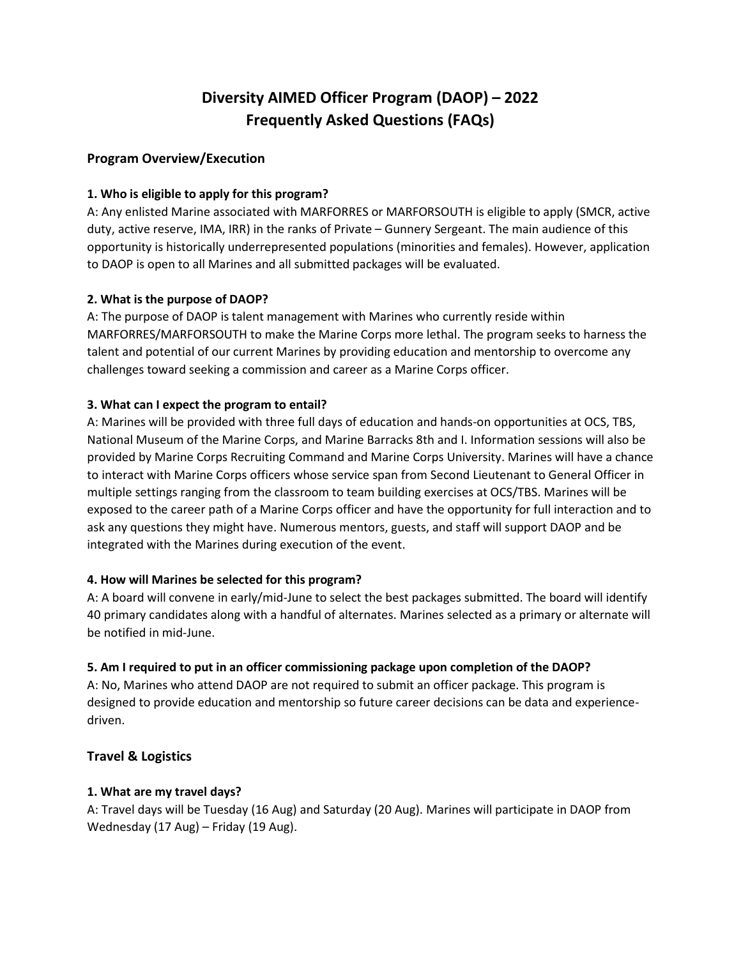# **Diversity AIMED Officer Program (DAOP) – 2022 Frequently Asked Questions (FAQs)**

# **Program Overview/Execution**

## **1. Who is eligible to apply for this program?**

A: Any enlisted Marine associated with MARFORRES or MARFORSOUTH is eligible to apply (SMCR, active duty, active reserve, IMA, IRR) in the ranks of Private – Gunnery Sergeant. The main audience of this opportunity is historically underrepresented populations (minorities and females). However, application to DAOP is open to all Marines and all submitted packages will be evaluated.

## **2. What is the purpose of DAOP?**

A: The purpose of DAOP is talent management with Marines who currently reside within MARFORRES/MARFORSOUTH to make the Marine Corps more lethal. The program seeks to harness the talent and potential of our current Marines by providing education and mentorship to overcome any challenges toward seeking a commission and career as a Marine Corps officer.

## **3. What can I expect the program to entail?**

A: Marines will be provided with three full days of education and hands-on opportunities at OCS, TBS, National Museum of the Marine Corps, and Marine Barracks 8th and I. Information sessions will also be provided by Marine Corps Recruiting Command and Marine Corps University. Marines will have a chance to interact with Marine Corps officers whose service span from Second Lieutenant to General Officer in multiple settings ranging from the classroom to team building exercises at OCS/TBS. Marines will be exposed to the career path of a Marine Corps officer and have the opportunity for full interaction and to ask any questions they might have. Numerous mentors, guests, and staff will support DAOP and be integrated with the Marines during execution of the event.

## **4. How will Marines be selected for this program?**

A: A board will convene in early/mid-June to select the best packages submitted. The board will identify 40 primary candidates along with a handful of alternates. Marines selected as a primary or alternate will be notified in mid-June.

## **5. Am I required to put in an officer commissioning package upon completion of the DAOP?**

A: No, Marines who attend DAOP are not required to submit an officer package. This program is designed to provide education and mentorship so future career decisions can be data and experiencedriven.

## **Travel & Logistics**

#### **1. What are my travel days?**

A: Travel days will be Tuesday (16 Aug) and Saturday (20 Aug). Marines will participate in DAOP from Wednesday (17 Aug) – Friday (19 Aug).